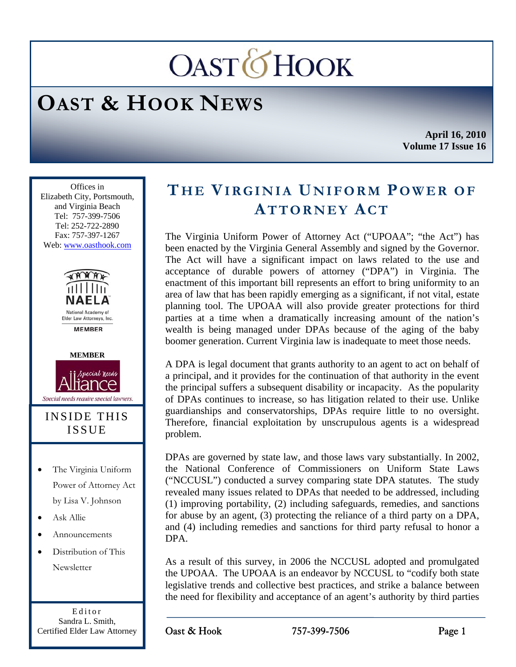# **OASTOHOOK**

# **OAST & HOOK NEWS**

**April 16, 2010 Volume 17 Issue 16** 

Ī Offices in Elizabeth City, Portsmouth, and Virginia Beach Tel: 757-399-7506 Tel: 252-722-2890 Fax: 757-397-1267 Web: www.oasthook.com





#### INSIDE THIS ISSUE

- The Virginia Uniform Power of Attorney Act by Lisa V. Johnson
- Ask Allie
- Announcements
- Distribution of This **Newsletter**

Editor Sandra L. Smith, Certified Elder Law Attorney

## **THE VIRGINIA UNIFORM POWER OF ATTORNEY ACT**

The Virginia Uniform Power of Attorney Act ("UPOAA"; "the Act") has been enacted by the Virginia General Assembly and signed by the Governor. The Act will have a significant impact on laws related to the use and acceptance of durable powers of attorney ("DPA") in Virginia. The enactment of this important bill represents an effort to bring uniformity to an area of law that has been rapidly emerging as a significant, if not vital, estate planning tool. The UPOAA will also provide greater protections for third parties at a time when a dramatically increasing amount of the nation's wealth is being managed under DPAs because of the aging of the baby boomer generation. Current Virginia law is inadequate to meet those needs.

A DPA is legal document that grants authority to an agent to act on behalf of a principal, and it provides for the continuation of that authority in the event the principal suffers a subsequent disability or incapacity. As the popularity of DPAs continues to increase, so has litigation related to their use. Unlike guardianships and conservatorships, DPAs require little to no oversight. Therefore, financial exploitation by unscrupulous agents is a widespread problem.

DPAs are governed by state law, and those laws vary substantially. In 2002, the National Conference of Commissioners on Uniform State Laws ("NCCUSL") conducted a survey comparing state DPA statutes. The study revealed many issues related to DPAs that needed to be addressed, including (1) improving portability, (2) including safeguards, remedies, and sanctions for abuse by an agent, (3) protecting the reliance of a third party on a DPA, and (4) including remedies and sanctions for third party refusal to honor a DPA.

As a result of this survey, in 2006 the NCCUSL adopted and promulgated the UPOAA. The UPOAA is an endeavor by NCCUSL to "codify both state legislative trends and collective best practices, and strike a balance between the need for flexibility and acceptance of an agent's authority by third parties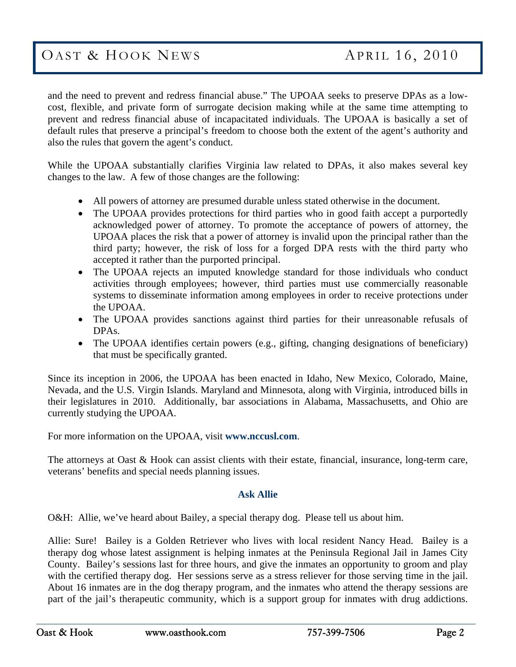### OAST & HOOK NEWS APRIL 16, 2010

and the need to prevent and redress financial abuse." The UPOAA seeks to preserve DPAs as a lowcost, flexible, and private form of surrogate decision making while at the same time attempting to prevent and redress financial abuse of incapacitated individuals. The UPOAA is basically a set of default rules that preserve a principal's freedom to choose both the extent of the agent's authority and also the rules that govern the agent's conduct.

While the UPOAA substantially clarifies Virginia law related to DPAs, it also makes several key changes to the law. A few of those changes are the following:

- All powers of attorney are presumed durable unless stated otherwise in the document.
- The UPOAA provides protections for third parties who in good faith accept a purportedly acknowledged power of attorney. To promote the acceptance of powers of attorney, the UPOAA places the risk that a power of attorney is invalid upon the principal rather than the third party; however, the risk of loss for a forged DPA rests with the third party who accepted it rather than the purported principal.
- The UPOAA rejects an imputed knowledge standard for those individuals who conduct activities through employees; however, third parties must use commercially reasonable systems to disseminate information among employees in order to receive protections under the UPOAA.
- The UPOAA provides sanctions against third parties for their unreasonable refusals of DPAs.
- The UPOAA identifies certain powers (e.g., gifting, changing designations of beneficiary) that must be specifically granted.

Since its inception in 2006, the UPOAA has been enacted in Idaho, New Mexico, Colorado, Maine, Nevada, and the U.S. Virgin Islands. Maryland and Minnesota, along with Virginia, introduced bills in their legislatures in 2010. Additionally, bar associations in Alabama, Massachusetts, and Ohio are currently studying the UPOAA.

For more information on the UPOAA, visit **www.nccusl.com**.

The attorneys at Oast & Hook can assist clients with their estate, financial, insurance, long-term care, veterans' benefits and special needs planning issues.

#### **Ask Allie**

O&H: Allie, we've heard about Bailey, a special therapy dog. Please tell us about him.

Allie: Sure! Bailey is a Golden Retriever who lives with local resident Nancy Head. Bailey is a therapy dog whose latest assignment is helping inmates at the Peninsula Regional Jail in James City County. Bailey's sessions last for three hours, and give the inmates an opportunity to groom and play with the certified therapy dog. Her sessions serve as a stress reliever for those serving time in the jail. About 16 inmates are in the dog therapy program, and the inmates who attend the therapy sessions are part of the jail's therapeutic community, which is a support group for inmates with drug addictions.